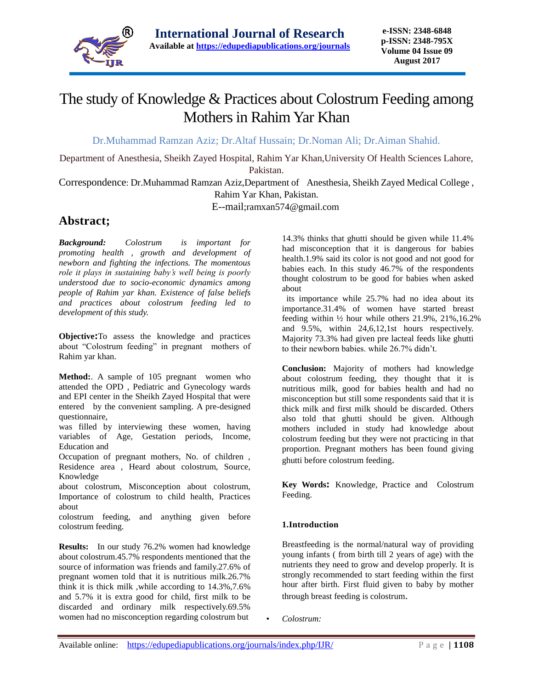

# The study of Knowledge & Practices about Colostrum Feeding among Mothers in Rahim Yar Khan

Dr.Muhammad Ramzan Aziz; Dr.Altaf Hussain; Dr.Noman Ali; Dr.Aiman Shahid.

Department of Anesthesia, Sheikh Zayed Hospital, Rahim Yar Khan,University Of Health Sciences Lahore, Pakistan.

Correspondence: Dr.Muhammad Ramzan Aziz,Department of Anesthesia, Sheikh Zayed Medical College , Rahim Yar Khan, Pakistan.

E--mail;ramxan574@gmail.com

# **Abstract;**

*Background: Colostrum is important for promoting health , growth and development of newborn and fighting the infections. The momentous role it plays in sustaining baby's well being is poorly understood due to socio-economic dynamics among people of Rahim yar khan. Existence of false beliefs and practices about colostrum feeding led to development of this study.*

**Objective:**To assess the knowledge and practices about "Colostrum feeding" in pregnant mothers of Rahim yar khan.

**Method:**. A sample of 105 pregnant women who attended the OPD , Pediatric and Gynecology wards and EPI center in the Sheikh Zayed Hospital that were entered by the convenient sampling. A pre-designed questionnaire,

was filled by interviewing these women, having variables of Age, Gestation periods, Income, Education and

Occupation of pregnant mothers, No. of children , Residence area , Heard about colostrum, Source, Knowledge

about colostrum, Misconception about colostrum, Importance of colostrum to child health, Practices about

colostrum feeding, and anything given before colostrum feeding.

**Results:** In our study 76.2% women had knowledge about colostrum.45.7% respondents mentioned that the source of information was friends and family.27.6% of pregnant women told that it is nutritious milk.26.7% think it is thick milk ,while according to 14.3%,7.6% and 5.7% it is extra good for child, first milk to be discarded and ordinary milk respectively.69.5% women had no misconception regarding colostrum but

14.3% thinks that ghutti should be given while 11.4% had misconception that it is dangerous for babies health.1.9% said its color is not good and not good for babies each. In this study 46.7% of the respondents thought colostrum to be good for babies when asked about

its importance while 25.7% had no idea about its importance.31.4% of women have started breast feeding within ½ hour while others 21.9%, 21%,16.2% and 9.5%, within 24,6,12,1st hours respectively. Majority 73.3% had given pre lacteal feeds like ghutti to their newborn babies. while 26.7% didn't.

**Conclusion:** Majority of mothers had knowledge about colostrum feeding, they thought that it is nutritious milk, good for babies health and had no misconception but still some respondents said that it is thick milk and first milk should be discarded. Others also told that ghutti should be given. Although mothers included in study had knowledge about colostrum feeding but they were not practicing in that proportion. Pregnant mothers has been found giving ghutti before colostrum feeding.

**Key Words:** Knowledge, Practice and Colostrum Feeding.

### **1.Introduction**

Breastfeeding is the normal/natural way of providing young infants ( from birth till 2 years of age) with the nutrients they need to grow and develop properly. It is strongly recommended to start feeding within the first hour after birth. First fluid given to baby by mother through breast feeding is colostrum.

• *Colostrum:*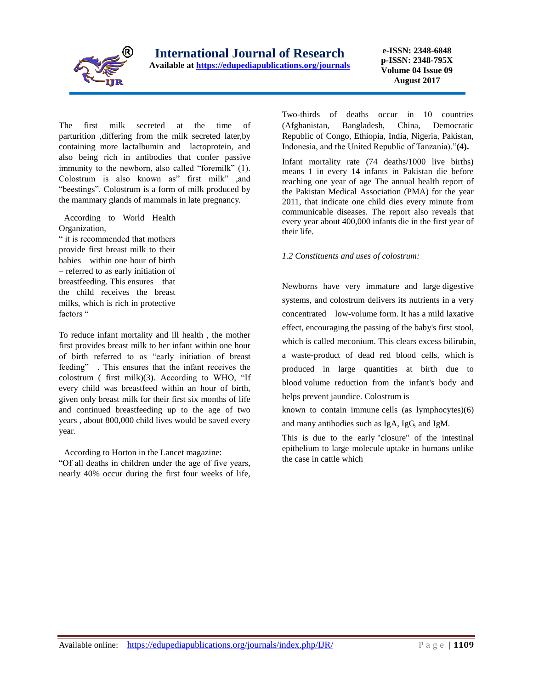

**e-ISSN: 2348-6848 p-ISSN: 2348-795X Volume 04 Issue 09 August 2017**

The first milk secreted at the time of parturition ,differing from the milk secreted later,by containing more lactalbumin and lactoprotein, and also being rich in antibodies that confer passive immunity to the newborn, also called "foremilk" (1). Colostrum is also known as" first milk" ,and "beestings". Colostrum is a form of milk produced by the mammary glands of mammals in late pregnancy.

According to World Health Organization,

" it is recommended that mothers provide first breast milk to their babies within one hour of birth – referred to as early initiation of breastfeeding. This ensures that the child receives the breast milks, which is rich in protective factors "

To reduce infant mortality and ill health , the mother first provides breast milk to her infant within one hour of birth referred to as "early initiation of breast feeding" . This ensures that the infant receives the colostrum ( first milk)(3). According to WHO, "If every child was breastfeed within an hour of birth, given only breast milk for their first six months of life and continued breastfeeding up to the age of two years , about 800,000 child lives would be saved every year.

According to Horton in the Lancet magazine:

"Of all deaths in children under the age of five years, nearly 40% occur during the first four weeks of life, Two-thirds of deaths occur in 10 countries (Afghanistan, Bangladesh, China, Democratic Republic of Congo, Ethiopia, India, Nigeria, Pakistan, Indonesia, and the United Republic of Tanzania)."**(4).** 

Infant mortality rate (74 deaths/1000 live births) means 1 in every 14 infants in Pakistan die before reaching one year of age The annual health report of the Pakistan Medical Association (PMA) for the year 2011, that indicate one child dies every minute from communicable diseases. The report also reveals that every year about 400,000 infants die in the first year of their life.

#### *1.2 Constituents and uses of colostrum:*

Newborns have very immature and large digestive systems, and colostrum delivers its nutrients in a very concentrated low-volume form. It has a mild laxative effect, encouraging the passing of the baby's first stool, which is called meconium. This clears excess bilirubin, a waste-product of dead red blood cells, which is produced in large quantities at birth due to blood volume reduction from the infant's body and helps prevent jaundice. Colostrum is

known to contain immune cells (as lymphocytes)(6) and many antibodies such as IgA, IgG, and IgM.

This is due to the early "closure" of the intestinal epithelium to large molecule uptake in humans unlike the case in cattle which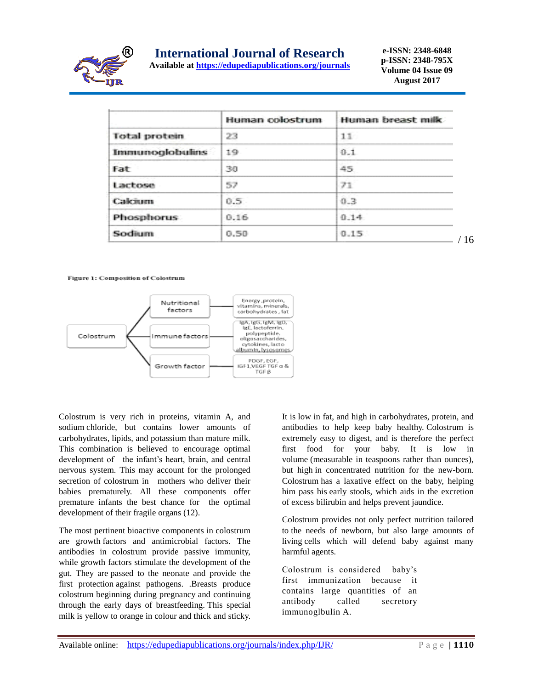

# **International Journal of Research**

**Available at<https://edupediapublications.org/journals>**

**e-ISSN: 2348-6848 p-ISSN: 2348-795X Volume 04 Issue 09 August 2017**

/ 16

|                        | Human colostrum | Human breast milk |
|------------------------|-----------------|-------------------|
| <b>Total protein</b>   | 23              | 11                |
| <b>Immunoglobulins</b> | 19              | 0.1               |
| Fat                    | 30              | 45                |
| Lactose                | 57              | 71                |
| Calcium                | 0.5.            | 0.3               |
| Phosphorus:            | 0.16            | 0.14              |
| Sodium                 | D.50            | 作用厂               |

Figure 1: Composition of Colostrum



Colostrum is very rich in proteins, vitamin A, and sodium chloride, but contains lower amounts of carbohydrates, lipids, and potassium than mature milk. This combination is believed to encourage optimal development of the infant's heart, brain, and central nervous system. This may account for the prolonged secretion of colostrum in mothers who deliver their babies prematurely. All these components offer premature infants the best chance for the optimal development of their fragile organs (12).

The most pertinent bioactive components in colostrum are growth factors and antimicrobial factors. The antibodies in colostrum provide passive immunity, while growth factors stimulate the development of the gut. They are passed to the neonate and provide the first protection against pathogens. .Breasts produce colostrum beginning during pregnancy and continuing through the early days of breastfeeding. This special milk is yellow to orange in colour and thick and sticky.

It is low in fat, and high in carbohydrates, protein, and antibodies to help keep baby healthy. Colostrum is extremely easy to digest, and is therefore the perfect first food for your baby. It is low in volume (measurable in teaspoons rather than ounces), but high in concentrated nutrition for the new-born. Colostrum has a laxative effect on the baby, helping him pass his early stools, which aids in the excretion of excess bilirubin and helps prevent jaundice.

Colostrum provides not only perfect nutrition tailored to the needs of newborn, but also large amounts of living cells which will defend baby against many harmful agents.

Colostrum is considered baby's first immunization because it contains large quantities of an antibody called secretory immunoglbulin A.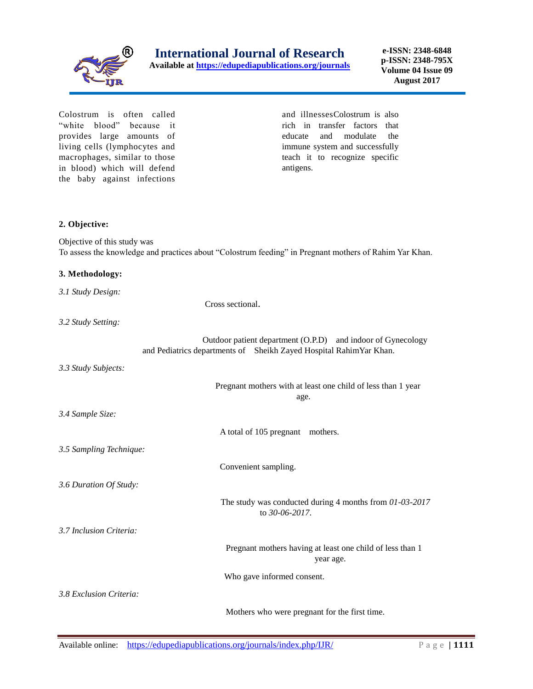

**e-ISSN: 2348-6848 p-ISSN: 2348-795X Volume 04 Issue 09 August 2017**

Colostrum is often called "white blood" because it provides large amounts of living cells (lymphocytes and macrophages, similar to those in blood) which will defend the baby against infections

and illnessesColostrum is also rich in transfer factors that educate and modulate the immune system and successfully teach it to recognize specific antigens.

#### **2. Objective:**

Objective of this study was To assess the knowledge and practices about "Colostrum feeding" in Pregnant mothers of Rahim Yar Khan.

#### **3. Methodology:**

*3.1 Study Design:*

Cross sectional.

*3.2 Study Setting:*

 Outdoor patient department (O.P.D) and indoor of Gynecology and Pediatrics departments of Sheikh Zayed Hospital RahimYar Khan.

*3.3 Study Subjects:*

*3.4 Sample Size:*

 Pregnant mothers with at least one child of less than 1 year age.

A total of 105 pregnant mothers.

*3.5 Sampling Technique:*

Convenient sampling.

 The study was conducted during 4 months from *01-03-2017* to *30-06-2017*.

*3.7 Inclusion Criteria:*

*3.6 Duration Of Study:*

 Pregnant mothers having at least one child of less than 1 year age.

Who gave informed consent.

*3.8 Exclusion Criteria:*

Mothers who were pregnant for the first time.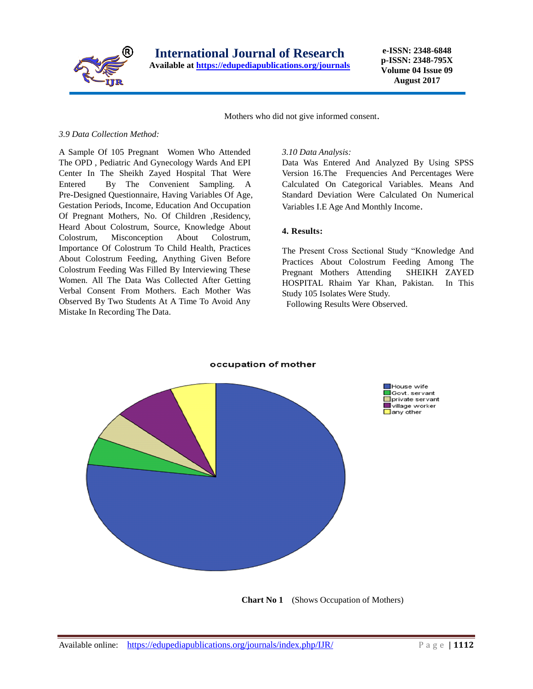

**e-ISSN: 2348-6848 p-ISSN: 2348-795X Volume 04 Issue 09 August 2017**

Mothers who did not give informed consent.

#### *3.9 Data Collection Method:*

A Sample Of 105 Pregnant Women Who Attended The OPD , Pediatric And Gynecology Wards And EPI Center In The Sheikh Zayed Hospital That Were Entered By The Convenient Sampling. A Pre-Designed Questionnaire, Having Variables Of Age, Gestation Periods, Income, Education And Occupation Of Pregnant Mothers, No. Of Children ,Residency, Heard About Colostrum, Source, Knowledge About Colostrum, Misconception About Colostrum, Importance Of Colostrum To Child Health, Practices About Colostrum Feeding, Anything Given Before Colostrum Feeding Was Filled By Interviewing These Women. All The Data Was Collected After Getting Verbal Consent From Mothers. Each Mother Was Observed By Two Students At A Time To Avoid Any Mistake In Recording The Data.

#### *3.10 Data Analysis:*

Data Was Entered And Analyzed By Using SPSS Version 16.The Frequencies And Percentages Were Calculated On Categorical Variables. Means And Standard Deviation Were Calculated On Numerical Variables I.E Age And Monthly Income.

#### **4. Results:**

The Present Cross Sectional Study "Knowledge And Practices About Colostrum Feeding Among The Pregnant Mothers Attending SHEIKH ZAYED HOSPITAL Rhaim Yar Khan, Pakistan. In This Study 105 Isolates Were Study.

Following Results Were Observed.



**Chart No 1** (Shows Occupation of Mothers)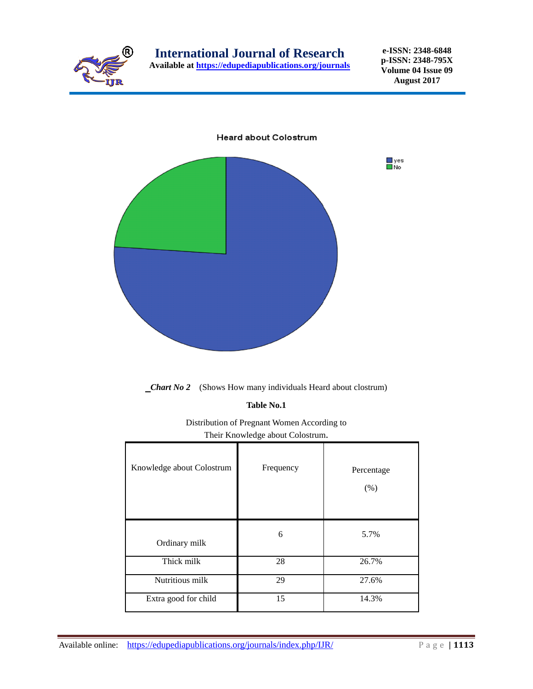

**e-ISSN: 2348-6848 p-ISSN: 2348-795X Volume 04 Issue 09 August 2017**



*Chart No 2* (Shows How many individuals Heard about clostrum)

**Table No.1** 

Distribution of Pregnant Women According to Their Knowledge about Colostrum.

| Knowledge about Colostrum | Frequency | Percentage<br>(% ) |
|---------------------------|-----------|--------------------|
| Ordinary milk             | 6         | 5.7%               |
| Thick milk                | 28        | 26.7%              |
| Nutritious milk           | 29        | 27.6%              |
| Extra good for child      | 15        | 14.3%              |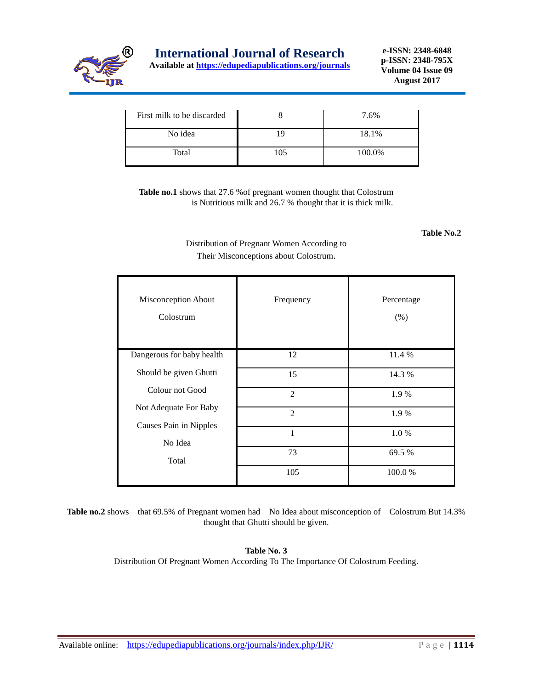

# **International Journal of Research**

**Available at<https://edupediapublications.org/journals>**

**e-ISSN: 2348-6848 p-ISSN: 2348-795X Volume 04 Issue 09 August 2017**

| First milk to be discarded |     | 7.6%   |
|----------------------------|-----|--------|
| No idea                    | 19  | 18.1%  |
| Total                      | 105 | 100.0% |

**Table no.1** shows that 27.6 %of pregnant women thought that Colostrum is Nutritious milk and 26.7 % thought that it is thick milk.

 **Table No.2**

Distribution of Pregnant Women According to Their Misconceptions about Colostrum.

| Misconception About<br>Colostrum  | Frequency      | Percentage<br>(% ) |
|-----------------------------------|----------------|--------------------|
| Dangerous for baby health         | 12             | 11.4 %             |
| Should be given Ghutti            | 15             | 14.3 %             |
| Colour not Good                   | 2              | 1.9 %              |
| Not Adequate For Baby             | $\mathfrak{D}$ | 1.9 %              |
| Causes Pain in Nipples<br>No Idea | 1              | 1.0%               |
| Total                             | 73             | 69.5 %             |
|                                   | 105            | 100.0%             |

Table no.2 shows that 69.5% of Pregnant women had No Idea about misconception of Colostrum But 14.3% thought that Ghutti should be given.

> **Table No. 3** Distribution Of Pregnant Women According To The Importance Of Colostrum Feeding.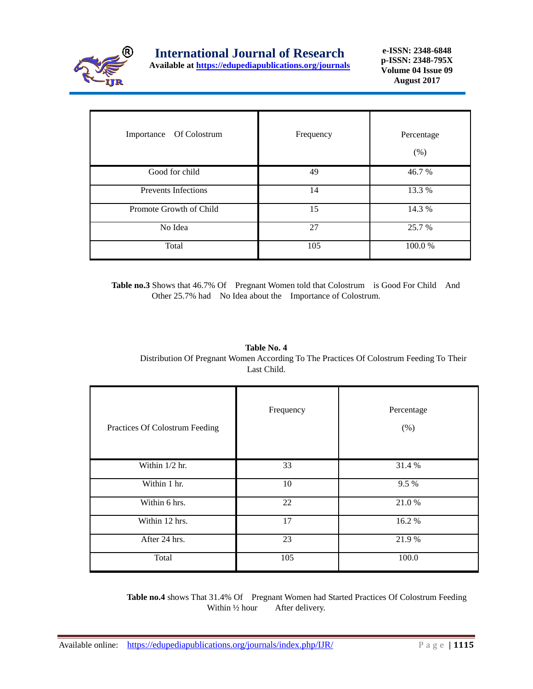

| Of Colostrum<br>Importance | Frequency | Percentage<br>(% ) |
|----------------------------|-----------|--------------------|
| Good for child             | 49        | 46.7 %             |
| <b>Prevents Infections</b> | 14        | 13.3 %             |
| Promote Growth of Child    | 15        | 14.3 %             |
| No Idea                    | 27        | 25.7 %             |
| Total                      | 105       | 100.0%             |

 **Table no.3** Shows that 46.7% Of Pregnant Women told that Colostrum is Good For Child And Other 25.7% had No Idea about the Importance of Colostrum.

| Table No. 4                                                                             |
|-----------------------------------------------------------------------------------------|
| Distribution Of Pregnant Women According To The Practices Of Colostrum Feeding To Their |
| Last Child.                                                                             |

| Practices Of Colostrum Feeding | Frequency | Percentage<br>(% ) |
|--------------------------------|-----------|--------------------|
| Within 1/2 hr.                 | 33        | 31.4 %             |
| Within 1 hr.                   | 10        | 9.5%               |
| Within 6 hrs.                  | 22        | 21.0%              |
| Within 12 hrs.                 | 17        | 16.2%              |
| After 24 hrs.                  | 23        | 21.9%              |
| Total                          | 105       | 100.0              |

 **Table no.4** shows That 31.4% Of Pregnant Women had Started Practices Of Colostrum Feeding Within <sup>1/2</sup> hour After delivery.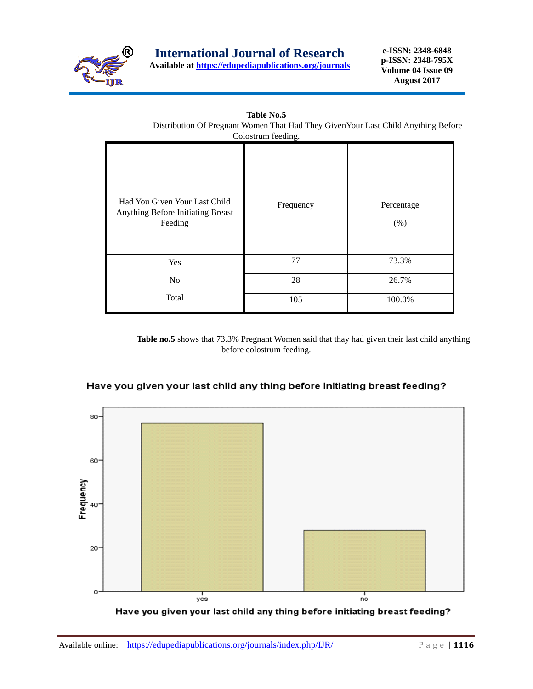

**Table No.5**

**e-ISSN: 2348-6848 p-ISSN: 2348-795X Volume 04 Issue 09 August 2017**

|                                                                               | Colostrum feeding. |                    |
|-------------------------------------------------------------------------------|--------------------|--------------------|
| Had You Given Your Last Child<br>Anything Before Initiating Breast<br>Feeding | Frequency          | Percentage<br>(% ) |
| Yes                                                                           | 77                 | 73.3%              |
| N <sub>o</sub>                                                                | 28                 | 26.7%              |
| Total                                                                         | 105                | 100.0%             |

 **Table no.5** shows that 73.3% Pregnant Women said that thay had given their last child anything before colostrum feeding.



## Have you given your last child any thing before initiating breast feeding?

Have you given your last child any thing before initiating breast feeding?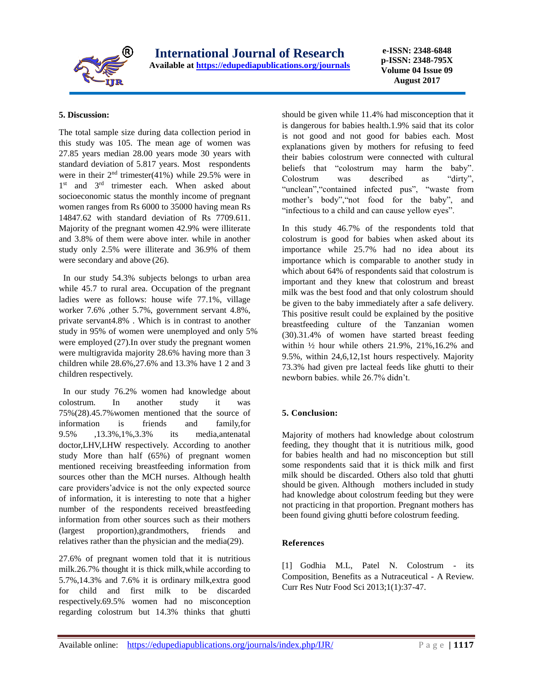

**e-ISSN: 2348-6848 p-ISSN: 2348-795X Volume 04 Issue 09 August 2017**

#### **5. Discussion:**

The total sample size during data collection period in this study was 105. The mean age of women was 27.85 years median 28.00 years mode 30 years with standard deviation of 5.817 years. Most respondents were in their  $2<sup>nd</sup>$  trimester(41%) while 29.5% were in 1<sup>st</sup> and 3<sup>rd</sup> trimester each. When asked about socioeconomic status the monthly income of pregnant women ranges from Rs 6000 to 35000 having mean Rs 14847.62 with standard deviation of Rs 7709.611. Majority of the pregnant women 42.9% were illiterate and 3.8% of them were above inter. while in another study only 2.5% were illiterate and 36.9% of them were secondary and above (26).

In our study 54.3% subjects belongs to urban area while 45.7 to rural area. Occupation of the pregnant ladies were as follows: house wife 77.1%, village worker 7.6% ,other 5.7%, government servant 4.8%, private servant4.8% . Which is in contrast to another study in 95% of women were unemployed and only 5% were employed (27).In over study the pregnant women were multigravida majority 28.6% having more than 3 children while 28.6%,27.6% and 13.3% have 1 2 and 3 children respectively.

In our study 76.2% women had knowledge about colostrum. In another study it was 75%(28).45.7%women mentioned that the source of information is friends and family,for 9.5% ,13.3%,1%,3.3% its media,antenatal doctor,LHV,LHW respectively. According to another study More than half (65%) of pregnant women mentioned receiving breastfeeding information from sources other than the MCH nurses. Although health care providers'advice is not the only expected source of information, it is interesting to note that a higher number of the respondents received breastfeeding information from other sources such as their mothers (largest proportion),grandmothers, friends and relatives rather than the physician and the media(29).

27.6% of pregnant women told that it is nutritious milk.26.7% thought it is thick milk,while according to 5.7%,14.3% and 7.6% it is ordinary milk,extra good for child and first milk to be discarded respectively.69.5% women had no misconception regarding colostrum but 14.3% thinks that ghutti should be given while 11.4% had misconception that it is dangerous for babies health.1.9% said that its color is not good and not good for babies each. Most explanations given by mothers for refusing to feed their babies colostrum were connected with cultural beliefs that "colostrum may harm the baby". Colostrum was described as "dirty", "unclean","contained infected pus", "waste from mother's body","not food for the baby", and "infectious to a child and can cause yellow eyes".

In this study 46.7% of the respondents told that colostrum is good for babies when asked about its importance while 25.7% had no idea about its importance which is comparable to another study in which about 64% of respondents said that colostrum is important and they knew that colostrum and breast milk was the best food and that only colostrum should be given to the baby immediately after a safe delivery. This positive result could be explained by the positive breastfeeding culture of the Tanzanian women (30).31.4% of women have started breast feeding within ½ hour while others 21.9%, 21%,16.2% and 9.5%, within 24,6,12,1st hours respectively. Majority 73.3% had given pre lacteal feeds like ghutti to their newborn babies. while 26.7% didn't.

### **5. Conclusion:**

Majority of mothers had knowledge about colostrum feeding, they thought that it is nutritious milk, good for babies health and had no misconception but still some respondents said that it is thick milk and first milk should be discarded. Others also told that ghutti should be given. Although mothers included in study had knowledge about colostrum feeding but they were not practicing in that proportion. Pregnant mothers has been found giving ghutti before colostrum feeding.

### **References**

[1] Godhia M.L, Patel N. Colostrum - its Composition, Benefits as a Nutraceutical - A Review. Curr Res Nutr Food Sci 2013;1(1):37-47.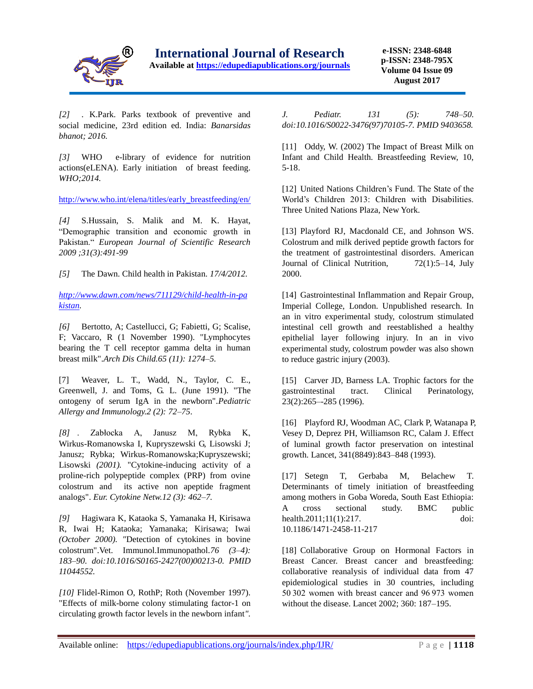

**e-ISSN: 2348-6848 p-ISSN: 2348-795X Volume 04 Issue 09 August 2017**

*[2]* . K.Park. Parks textbook of preventive and social medicine, 23rd edition ed. India: *Banarsidas bhanot; 2016.*

*[3]* WHO e-library of evidence for nutrition actions(eLENA). Early initiation of breast feeding. *WHO;2014.*

[http://www.who.int/elena/titles/early\\_breastfeeding/en/](http://www.who.int/elena/titles/early_breastfeeding/en/)

*[4]* S.Hussain, S. Malik and M. K. Hayat, "Demographic transition and economic growth in Pakistan." *European Journal of Scientific Research 2009 ;31(3):491-99*

*[5]* The Dawn. Child health in Pakistan. *17/4/2012.* 

*[http://www.dawn.com/news/711129/child-health-in-pa](http://www.dawn.com/news/711129/child-health-in-pakistan) [kistan.](http://www.dawn.com/news/711129/child-health-in-pakistan)*

*[6]* Bertotto, A; Castellucci, G; Fabietti, G; Scalise, F; Vaccaro, R (1 November 1990). "Lymphocytes bearing the T cell receptor gamma delta in human breast milk".*Arch Dis Child.65 (11): 1274–5.* 

[7] Weaver, L. T., Wadd, N., Taylor, C. E., Greenwell, J. and Toms, G. L. (June 1991). "The ontogeny of serum IgA in the newborn".*Pediatric Allergy and Immunology.2 (2): 72–75*.

*[8]* . Zabłocka A, Janusz M, Rybka K, Wirkus-Romanowska I, Kupryszewski G, Lisowski J; Janusz; Rybka; Wirkus-Romanowska;Kupryszewski; Lisowski *(2001).* "Cytokine-inducing activity of a proline-rich polypeptide complex (PRP) from ovine colostrum and its active non apeptide fragment analogs". *Eur. Cytokine Netw.12 (3): 462–7.* 

*[9]* Hagiwara K, Kataoka S, Yamanaka H, Kirisawa R, Iwai H; Kataoka; Yamanaka; Kirisawa; Iwai *(October 2000). "*Detection of cytokines in bovine colostrum".Vet. Immunol.Immunopathol.*76 (3–4): 183–90. doi:10.1016/S0165-2427(00)00213-0. PMID 11044552.* 

*[10]* Flidel-Rimon O, RothP; Roth (November 1997). "Effects of milk-borne colony stimulating factor-1 on circulating growth factor levels in the newborn infant*".*  *J. Pediatr. 131 (5): 748–50. doi:10.1016/S0022-3476(97)70105-7. PMID 9403658.* 

[11] Oddy, W. (2002) The Impact of Breast Milk on Infant and Child Health. Breastfeeding Review, 10, 5-18.

[12] United Nations Children's Fund. The State of the World's Children 2013: Children with Disabilities. Three United Nations Plaza, New York.

[13] Playford RJ, Macdonald CE, and Johnson WS. Colostrum and milk derived peptide growth factors for the treatment of gastrointestinal disorders. American Journal of Clinical Nutrition, 72(1):5–14, July 2000.

[14] Gastrointestinal Inflammation and Repair Group, Imperial College, London. Unpublished research. In an in vitro experimental study, colostrum stimulated intestinal cell growth and reestablished a healthy epithelial layer following injury. In an in vivo experimental study, colostrum powder was also shown to reduce gastric injury (2003).

[15] Carver JD, Barness LA. Trophic factors for the gastrointestinal tract. Clinical Perinatology, 23(2):265–-285 (1996).

[16] Playford RJ, Woodman AC, Clark P, Watanapa P, Vesey D, Deprez PH, Williamson RC, Calam J. Effect of luminal growth factor preservation on intestinal growth. Lancet, 341(8849):843–848 (1993).

[17] Setegn T, Gerbaba M, Belachew T. Determinants of timely initiation of breastfeeding among mothers in Goba Woreda, South East Ethiopia: A cross sectional study. BMC public health.2011:11(1):217. doi: 10.1186/1471-2458-11-217

[18] Collaborative Group on Hormonal Factors in Breast Cancer. Breast cancer and breastfeeding: collaborative reanalysis of individual data from 47 epidemiological studies in 30 countries, including 50 302 women with breast cancer and 96 973 women without the disease. Lancet 2002; 360: 187–195.